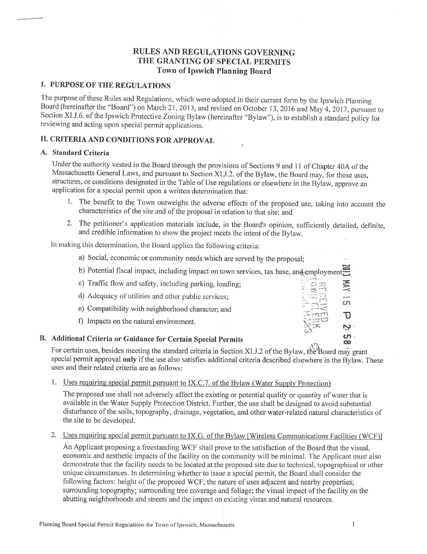## **RULES AND REGULATIONS GOVERNING** THE GRANTING OF SPECIAL PERMITS Town of Ipswich Planning Board

## I. PURPOSE OF THE REGULATIONS

The purpose of these Rules and Regulations, which were adopted in their current form by the Ipswich Planning Board (hereinafter the "Board") on March 21, 2013, and revised on October 13, 2016 and May 4, 2017, pursuant to Section XI.J.6. of the Ipswich Protective Zoning Bylaw (hereinafter "Bylaw"), is to establish a standard policy for reviewing and acting upon special permit applications.

## II. CRITERIA AND CONDITIONS FOR APPROVAL

#### A. Standard Criteria

Under the authority vested in the Board through the provisions of Sections 9 and 11 of Chapter 40A of the Massachusetts General Laws, and pursuant to Section XI.J.2. of the Bylaw, the Board may, for those uses, structures, or conditions designated in the Table of Use regulations or elsewhere in the Bylaw, approve an application for a special permit upon a written determination that:

- 1. The benefit to the Town outweighs the adverse effects of the proposed use, taking into account the characteristics of the site and of the proposal in relation to that site; and
- 2. The petitioner's application materials include, in the Board's opinion, sufficiently detailed, definite, and credible information to show the project meets the intent of the Bylaw.

In making this determination, the Board applies the following criteria:

- a) Social, economic or community needs which are served by the proposal;
- b) Potential fiscal impact, including impact on town services, tax base, and employmen
- c) Traffic flow and safety, including parking, loading; d) Adequacy of utilities and other public services; e) Compatibility with neighborhood character; and τ f) Impacts on the natural environment. ىي ທ. B. Additional Criteria or Guidance for Certain Special Permits  $\infty$

For certain uses, besides meeting the standard criteria in Section XI.J.2 of the Bylaw, the Board may grant special permit approval only if the use also satisfies additional criteria described elsewhere in the Bylaw. These uses and their related criteria are as follows:

1. Uses requiring special permit pursuant to IX.C.7. of the Bylaw (Water Supply Protection)

The proposed use shall not adversely affect the existing or potential quality or quantity of water that is available in the Water Supply Protection District. Further, the use shall be designed to avoid substantial disturbance of the soils, topography, drainage, vegetation, and other water-related natural characteristics of the site to be developed.

2. Uses requiring special permit pursuant to IX.G. of the Bylaw [Wireless Communications Facilities (WCF)]

An Applicant proposing a freestanding WCF shall prove to the satisfaction of the Board that the visual, economic and aesthetic impacts of the facility on the community will be minimal. The Applicant must also demonstrate that the facility needs to be located at the proposed site due to technical, topographical or other unique circumstances. In determining whether to issue a special permit, the Board shall consider the following factors: height of the proposed WCF; the nature of uses adjacent and nearby properties; surrounding topography; surrounding tree coverage and foliage; the visual impact of the facility on the abutting neighborhoods and streets and the impact on existing vistas and natural resources.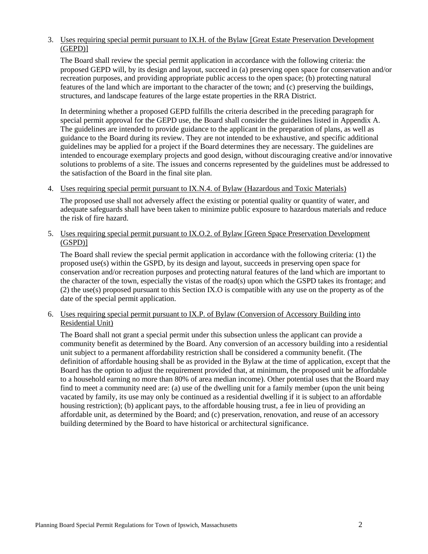### 3. Uses requiring special permit pursuant to IX.H. of the Bylaw [Great Estate Preservation Development (GEPD)]

The Board shall review the special permit application in accordance with the following criteria: the proposed GEPD will, by its design and layout, succeed in (a) preserving open space for conservation and/or recreation purposes, and providing appropriate public access to the open space; (b) protecting natural features of the land which are important to the character of the town; and (c) preserving the buildings, structures, and landscape features of the large estate properties in the RRA District.

In determining whether a proposed GEPD fulfills the criteria described in the preceding paragraph for special permit approval for the GEPD use, the Board shall consider the guidelines listed in Appendix A. The guidelines are intended to provide guidance to the applicant in the preparation of plans, as well as guidance to the Board during its review. They are not intended to be exhaustive, and specific additional guidelines may be applied for a project if the Board determines they are necessary. The guidelines are intended to encourage exemplary projects and good design, without discouraging creative and/or innovative solutions to problems of a site. The issues and concerns represented by the guidelines must be addressed to the satisfaction of the Board in the final site plan.

### 4. Uses requiring special permit pursuant to IX.N.4. of Bylaw (Hazardous and Toxic Materials)

The proposed use shall not adversely affect the existing or potential quality or quantity of water, and adequate safeguards shall have been taken to minimize public exposure to hazardous materials and reduce the risk of fire hazard.

#### 5. Uses requiring special permit pursuant to IX.O.2. of Bylaw [Green Space Preservation Development (GSPD)]

The Board shall review the special permit application in accordance with the following criteria: (1) the proposed use(s) within the GSPD, by its design and layout, succeeds in preserving open space for conservation and/or recreation purposes and protecting natural features of the land which are important to the character of the town, especially the vistas of the road(s) upon which the GSPD takes its frontage; and (2) the use(s) proposed pursuant to this Section IX.O is compatible with any use on the property as of the date of the special permit application.

### 6. Uses requiring special permit pursuant to IX.P. of Bylaw (Conversion of Accessory Building into Residential Unit)

The Board shall not grant a special permit under this subsection unless the applicant can provide a community benefit as determined by the Board. Any conversion of an accessory building into a residential unit subject to a permanent affordability restriction shall be considered a community benefit. (The definition of affordable housing shall be as provided in the Bylaw at the time of application, except that the Board has the option to adjust the requirement provided that, at minimum, the proposed unit be affordable to a household earning no more than 80% of area median income). Other potential uses that the Board may find to meet a community need are: (a) use of the dwelling unit for a family member (upon the unit being vacated by family, its use may only be continued as a residential dwelling if it is subject to an affordable housing restriction); (b) applicant pays, to the affordable housing trust, a fee in lieu of providing an affordable unit, as determined by the Board; and (c) preservation, renovation, and reuse of an accessory building determined by the Board to have historical or architectural significance.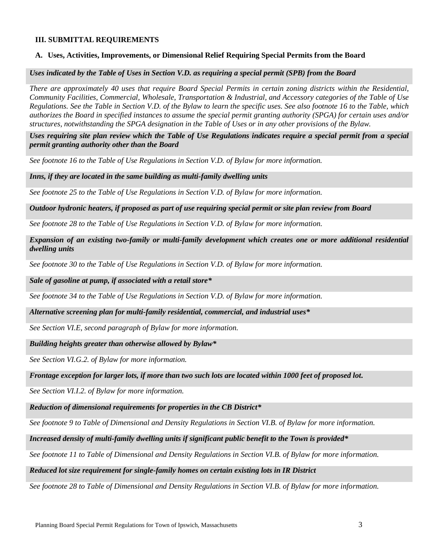#### **III. SUBMITTAL REQUIREMENTS**

#### **A. Uses, Activities, Improvements, or Dimensional Relief Requiring Special Permits from the Board**

*Uses indicated by the Table of Uses in Section V.D. as requiring a special permit (SPB) from the Board*

*There are approximately 40 uses that require Board Special Permits in certain zoning districts within the Residential, Community Facilities, Commercial, Wholesale, Transportation & Industrial, and Accessory categories of the Table of Use Regulations. See the Table in Section V.D. of the Bylaw to learn the specific uses. See also footnote 16 to the Table, which authorizes the Board in specified instances to assume the special permit granting authority (SPGA) for certain uses and/or structures, notwithstanding the SPGA designation in the Table of Uses or in any other provisions of the Bylaw.*

*Uses requiring site plan review which the Table of Use Regulations indicates require a special permit from a special permit granting authority other than the Board*

*See footnote 16 to the Table of Use Regulations in Section V.D. of Bylaw for more information.*

*Inns, if they are located in the same building as multi-family dwelling units*

*See footnote 25 to the Table of Use Regulations in Section V.D. of Bylaw for more information.*

*Outdoor hydronic heaters, if proposed as part of use requiring special permit or site plan review from Board* 

*See footnote 28 to the Table of Use Regulations in Section V.D. of Bylaw for more information.*

*Expansion of an existing two-family or multi-family development which creates one or more additional residential dwelling units*

*See footnote 30 to the Table of Use Regulations in Section V.D. of Bylaw for more information.*

*Sale of gasoline at pump, if associated with a retail store\**

*See footnote 34 to the Table of Use Regulations in Section V.D. of Bylaw for more information.*

*Alternative screening plan for multi-family residential, commercial, and industrial uses\**

*See Section VI.E, second paragraph of Bylaw for more information.*

*Building heights greater than otherwise allowed by Bylaw\** 

*See Section VI.G.2. of Bylaw for more information.*

*Frontage exception for larger lots, if more than two such lots are located within 1000 feet of proposed lot.*

*See Section VI.I.2. of Bylaw for more information.*

*Reduction of dimensional requirements for properties in the CB District\**

*See footnote 9 to Table of Dimensional and Density Regulations in Section VI.B. of Bylaw for more information.*

*Increased density of multi-family dwelling units if significant public benefit to the Town is provided\**

*See footnote 11 to Table of Dimensional and Density Regulations in Section VI.B. of Bylaw for more information.*

#### *Reduced lot size requirement for single-family homes on certain existing lots in IR District*

*See footnote 28 to Table of Dimensional and Density Regulations in Section VI.B. of Bylaw for more information.*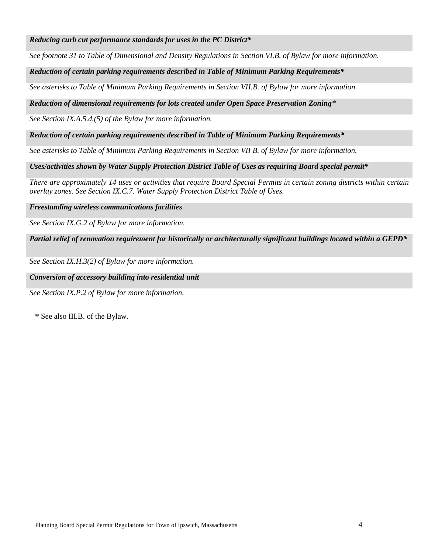#### *Reducing curb cut performance standards for uses in the PC District\**

*See footnote 31 to Table of Dimensional and Density Regulations in Section VI.B. of Bylaw for more information.*

#### *Reduction of certain parking requirements described in Table of Minimum Parking Requirements\**

*See asterisks to Table of Minimum Parking Requirements in Section VII.B. of Bylaw for more information.*

#### *Reduction of dimensional requirements for lots created under Open Space Preservation Zoning\**

*See Section IX.A.5.d.(5) of the Bylaw for more information.*

#### *Reduction of certain parking requirements described in Table of Minimum Parking Requirements\**

*See asterisks to Table of Minimum Parking Requirements in Section VII B. of Bylaw for more information.*

*Uses/activities shown by Water Supply Protection District Table of Uses as requiring Board special permit\**

*There are approximately 14 uses or activities that require Board Special Permits in certain zoning districts within certain overlay zones. See Section IX.C.7. Water Supply Protection District Table of Uses.*

*Freestanding wireless communications facilities*

*See Section IX.G.2 of Bylaw for more information.*

*Partial relief of renovation requirement for historically or architecturally significant buildings located within a GEPD\**

*See Section IX.H.3(2) of Bylaw for more information.*

#### *Conversion of accessory building into residential unit*

*See Section IX.P.2 of Bylaw for more information.*

**\*** See also III.B. of the Bylaw.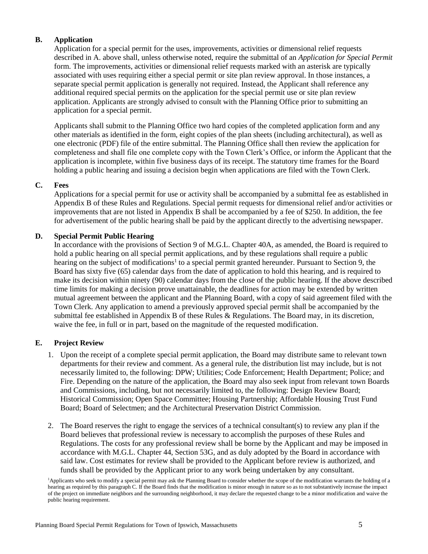## **B. Application**

Application for a special permit for the uses, improvements, activities or dimensional relief requests described in A. above shall, unless otherwise noted, require the submittal of an *Application for Special Permit* form. The improvements, activities or dimensional relief requests marked with an asterisk are typically associated with uses requiring either a special permit or site plan review approval. In those instances, a separate special permit application is generally not required. Instead, the Applicant shall reference any additional required special permits on the application for the special permit use or site plan review application. Applicants are strongly advised to consult with the Planning Office prior to submitting an application for a special permit.

Applicants shall submit to the Planning Office two hard copies of the completed application form and any other materials as identified in the form, eight copies of the plan sheets (including architectural), as well as one electronic (PDF) file of the entire submittal. The Planning Office shall then review the application for completeness and shall file one complete copy with the Town Clerk's Office, or inform the Applicant that the application is incomplete, within five business days of its receipt. The statutory time frames for the Board holding a public hearing and issuing a decision begin when applications are filed with the Town Clerk.

### **C. Fees**

Applications for a special permit for use or activity shall be accompanied by a submittal fee as established in Appendix B of these Rules and Regulations. Special permit requests for dimensional relief and/or activities or improvements that are not listed in Appendix B shall be accompanied by a fee of \$250. In addition, the fee for advertisement of the public hearing shall be paid by the applicant directly to the advertising newspaper*.*

### **D. Special Permit Public Hearing**

In accordance with the provisions of Section 9 of M.G.L. Chapter 40A, as amended, the Board is required to hold a public hearing on all special permit applications, and by these regulations shall require a public hearing on the subject of modifications<sup>1</sup> to a special permit granted hereunder. Pursuant to Section 9, the Board has sixty five (65) calendar days from the date of application to hold this hearing, and is required to make its decision within ninety (90) calendar days from the close of the public hearing. If the above described time limits for making a decision prove unattainable, the deadlines for action may be extended by written mutual agreement between the applicant and the Planning Board, with a copy of said agreement filed with the Town Clerk. Any application to amend a previously approved special permit shall be accompanied by the submittal fee established in Appendix B of these Rules & Regulations. The Board may, in its discretion, waive the fee, in full or in part, based on the magnitude of the requested modification.

## **E. Project Review**

- 1. Upon the receipt of a complete special permit application, the Board may distribute same to relevant town departments for their review and comment. As a general rule, the distribution list may include, but is not necessarily limited to, the following: DPW; Utilities; Code Enforcement; Health Department; Police; and Fire. Depending on the nature of the application, the Board may also seek input from relevant town Boards and Commissions, including, but not necessarily limited to, the following: Design Review Board; Historical Commission; Open Space Committee; Housing Partnership; Affordable Housing Trust Fund Board; Board of Selectmen; and the Architectural Preservation District Commission.
- 2. The Board reserves the right to engage the services of a technical consultant(s) to review any plan if the Board believes that professional review is necessary to accomplish the purposes of these Rules and Regulations. The costs for any professional review shall be borne by the Applicant and may be imposed in accordance with M.G.L. Chapter 44, Section 53G, and as duly adopted by the Board in accordance with said law. Cost estimates for review shall be provided to the Applicant before review is authorized, and funds shall be provided by the Applicant prior to any work being undertaken by any consultant.

<sup>&</sup>lt;sup>1</sup>Applicants who seek to modify a special permit may ask the Planning Board to consider whether the scope of the modification warrants the holding of a hearing as required by this paragraph C. If the Board finds that the modification is minor enough in nature so as to not substantively increase the impact of the project on immediate neighbors and the surrounding neighborhood, it may declare the requested change to be a minor modification and waive the public hearing requirement.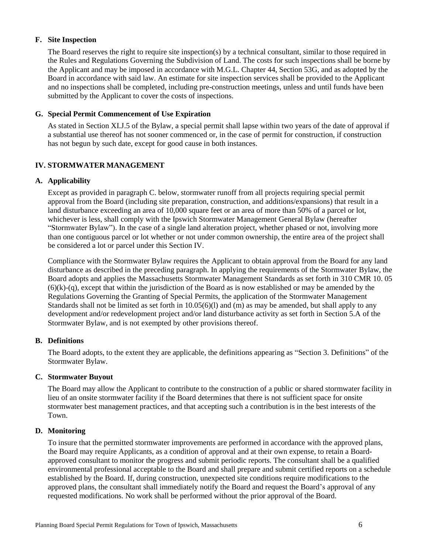#### **F. Site Inspection**

The Board reserves the right to require site inspection(s) by a technical consultant, similar to those required in the Rules and Regulations Governing the Subdivision of Land. The costs for such inspections shall be borne by the Applicant and may be imposed in accordance with M.G.L. Chapter 44, Section 53G, and as adopted by the Board in accordance with said law. An estimate for site inspection services shall be provided to the Applicant and no inspections shall be completed, including pre-construction meetings, unless and until funds have been submitted by the Applicant to cover the costs of inspections.

### **G. Special Permit Commencement of Use Expiration**

As stated in Section XI.J.5 of the Bylaw, a special permit shall lapse within two years of the date of approval if a substantial use thereof has not sooner commenced or, in the case of permit for construction, if construction has not begun by such date, except for good cause in both instances.

## **IV. STORMWATER MANAGEMENT**

### **A. Applicability**

Except as provided in paragraph C. below, stormwater runoff from all projects requiring special permit approval from the Board (including site preparation, construction, and additions/expansions) that result in a land disturbance exceeding an area of 10,000 square feet or an area of more than 50% of a parcel or lot, whichever is less, shall comply with the Ipswich Stormwater Management General Bylaw (hereafter "Stormwater Bylaw"). In the case of a single land alteration project, whether phased or not, involving more than one contiguous parcel or lot whether or not under common ownership, the entire area of the project shall be considered a lot or parcel under this Section IV.

Compliance with the Stormwater Bylaw requires the Applicant to obtain approval from the Board for any land disturbance as described in the preceding paragraph. In applying the requirements of the Stormwater Bylaw, the Board adopts and applies the Massachusetts Stormwater Management Standards as set forth in 310 CMR 10. 05  $(6)(k)-(q)$ , except that within the jurisdiction of the Board as is now established or may be amended by the Regulations Governing the Granting of Special Permits, the application of the Stormwater Management Standards shall not be limited as set forth in 10.05(6)(1) and (m) as may be amended, but shall apply to any development and/or redevelopment project and/or land disturbance activity as set forth in Section 5.A of the Stormwater Bylaw, and is not exempted by other provisions thereof.

## **B. Definitions**

The Board adopts, to the extent they are applicable, the definitions appearing as "Section 3. Definitions" of the Stormwater Bylaw.

#### **C. Stormwater Buyout**

The Board may allow the Applicant to contribute to the construction of a public or shared stormwater facility in lieu of an onsite stormwater facility if the Board determines that there is not sufficient space for onsite stormwater best management practices, and that accepting such a contribution is in the best interests of the Town.

## **D. Monitoring**

To insure that the permitted stormwater improvements are performed in accordance with the approved plans, the Board may require Applicants, as a condition of approval and at their own expense, to retain a Boardapproved consultant to monitor the progress and submit periodic reports. The consultant shall be a qualified environmental professional acceptable to the Board and shall prepare and submit certified reports on a schedule established by the Board. If, during construction, unexpected site conditions require modifications to the approved plans, the consultant shall immediately notify the Board and request the Board's approval of any requested modifications. No work shall be performed without the prior approval of the Board.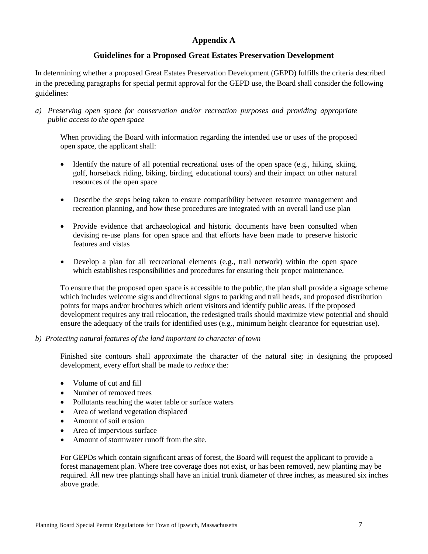## **Appendix A**

## **Guidelines for a Proposed Great Estates Preservation Development**

In determining whether a proposed Great Estates Preservation Development (GEPD) fulfills the criteria described in the preceding paragraphs for special permit approval for the GEPD use, the Board shall consider the following guidelines:

*a) Preserving open space for conservation and/or recreation purposes and providing appropriate public access to the open space*

When providing the Board with information regarding the intended use or uses of the proposed open space, the applicant shall:

- $\bullet$  Identify the nature of all potential recreational uses of the open space (e.g., hiking, skiing, golf, horseback riding, biking, birding, educational tours) and their impact on other natural resources of the open space
- Describe the steps being taken to ensure compatibility between resource management and recreation planning, and how these procedures are integrated with an overall land use plan
- Provide evidence that archaeological and historic documents have been consulted when devising re-use plans for open space and that efforts have been made to preserve historic features and vistas
- Develop a plan for all recreational elements (e.g., trail network) within the open space which establishes responsibilities and procedures for ensuring their proper maintenance*.*

To ensure that the proposed open space is accessible to the public, the plan shall provide a signage scheme which includes welcome signs and directional signs to parking and trail heads, and proposed distribution points for maps and/or brochures which orient visitors and identify public areas. If the proposed development requires any trail relocation, the redesigned trails should maximize view potential and should ensure the adequacy of the trails for identified uses (e.g., minimum height clearance for equestrian use).

*b) Protecting natural features of the land important to character of town*

Finished site contours shall approximate the character of the natural site; in designing the proposed development, every effort shall be made to *reduce* the*:*

- Volume of cut and fill
- Number of removed trees
- Pollutants reaching the water table or surface waters
- Area of wetland vegetation displaced
- Amount of soil erosion
- Area of impervious surface
- Amount of stormwater runoff from the site.

For GEPDs which contain significant areas of forest, the Board will request the applicant to provide a forest management plan. Where tree coverage does not exist, or has been removed, new planting may be required. All new tree plantings shall have an initial trunk diameter of three inches, as measured six inches above grade.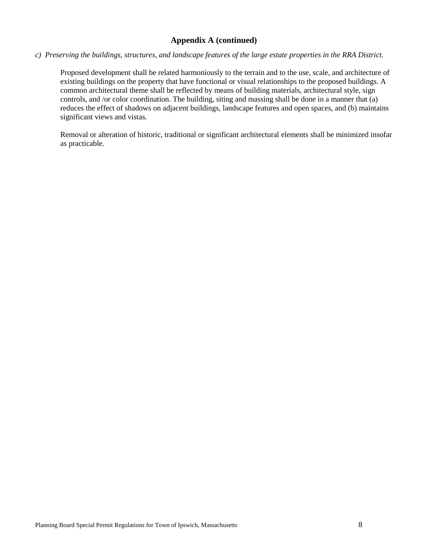## **Appendix A (continued)**

## *c) Preserving the buildings, structures, and landscape features of the large estate properties in the RRA District.*

Proposed development shall be related harmoniously to the terrain and to the use, scale, and architecture of existing buildings on the property that have functional or visual relationships to the proposed buildings. A common architectural theme shall be reflected by means of building materials, architectural style, sign controls, and /or color coordination. The building, siting and massing shall be done in a manner that (a) reduces the effect of shadows on adjacent buildings, landscape features and open spaces, and (b) maintains significant views and vistas.

Removal or alteration of historic, traditional or significant architectural elements shall be minimized insofar as practicable.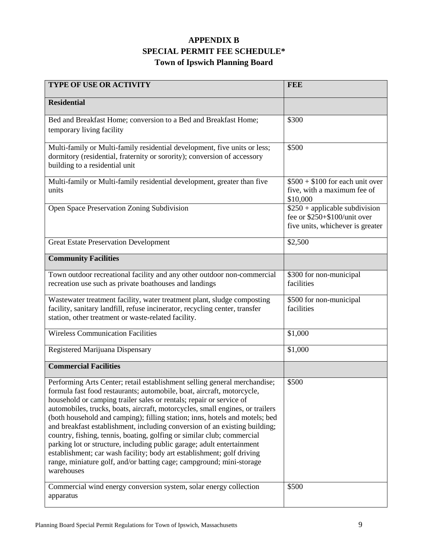# **APPENDIX B SPECIAL PERMIT FEE SCHEDULE\* Town of Ipswich Planning Board**

| <b>TYPE OF USE OR ACTIVITY</b>                                                                                                                                                                                                                                                                                                                                                                                                                                                                                                                                                                                                                                                                                                                                                               | <b>FEE</b>                                                                                          |
|----------------------------------------------------------------------------------------------------------------------------------------------------------------------------------------------------------------------------------------------------------------------------------------------------------------------------------------------------------------------------------------------------------------------------------------------------------------------------------------------------------------------------------------------------------------------------------------------------------------------------------------------------------------------------------------------------------------------------------------------------------------------------------------------|-----------------------------------------------------------------------------------------------------|
| <b>Residential</b>                                                                                                                                                                                                                                                                                                                                                                                                                                                                                                                                                                                                                                                                                                                                                                           |                                                                                                     |
| Bed and Breakfast Home; conversion to a Bed and Breakfast Home;<br>temporary living facility                                                                                                                                                                                                                                                                                                                                                                                                                                                                                                                                                                                                                                                                                                 | \$300                                                                                               |
| Multi-family or Multi-family residential development, five units or less;<br>dormitory (residential, fraternity or sorority); conversion of accessory<br>building to a residential unit                                                                                                                                                                                                                                                                                                                                                                                                                                                                                                                                                                                                      | \$500                                                                                               |
| Multi-family or Multi-family residential development, greater than five<br>units                                                                                                                                                                                                                                                                                                                                                                                                                                                                                                                                                                                                                                                                                                             | $$500 + $100$ for each unit over<br>five, with a maximum fee of<br>\$10,000                         |
| Open Space Preservation Zoning Subdivision                                                                                                                                                                                                                                                                                                                                                                                                                                                                                                                                                                                                                                                                                                                                                   | $$250 + applicable$ subdivision<br>fee or \$250+\$100/unit over<br>five units, whichever is greater |
| <b>Great Estate Preservation Development</b>                                                                                                                                                                                                                                                                                                                                                                                                                                                                                                                                                                                                                                                                                                                                                 | \$2,500                                                                                             |
| <b>Community Facilities</b>                                                                                                                                                                                                                                                                                                                                                                                                                                                                                                                                                                                                                                                                                                                                                                  |                                                                                                     |
| Town outdoor recreational facility and any other outdoor non-commercial<br>recreation use such as private boathouses and landings                                                                                                                                                                                                                                                                                                                                                                                                                                                                                                                                                                                                                                                            | \$300 for non-municipal<br>facilities                                                               |
| Wastewater treatment facility, water treatment plant, sludge composting<br>facility, sanitary landfill, refuse incinerator, recycling center, transfer<br>station, other treatment or waste-related facility.                                                                                                                                                                                                                                                                                                                                                                                                                                                                                                                                                                                | \$500 for non-municipal<br>facilities                                                               |
| <b>Wireless Communication Facilities</b>                                                                                                                                                                                                                                                                                                                                                                                                                                                                                                                                                                                                                                                                                                                                                     | \$1,000                                                                                             |
| Registered Marijuana Dispensary                                                                                                                                                                                                                                                                                                                                                                                                                                                                                                                                                                                                                                                                                                                                                              | \$1,000                                                                                             |
| <b>Commercial Facilities</b>                                                                                                                                                                                                                                                                                                                                                                                                                                                                                                                                                                                                                                                                                                                                                                 |                                                                                                     |
| Performing Arts Center; retail establishment selling general merchandise;<br>formula fast food restaurants; automobile, boat, aircraft, motorcycle,<br>household or camping trailer sales or rentals; repair or service of<br>automobiles, trucks, boats, aircraft, motorcycles, small engines, or trailers<br>(both household and camping); filling station; inns, hotels and motels; bed<br>and breakfast establishment, including conversion of an existing building;<br>country, fishing, tennis, boating, golfing or similar club; commercial<br>parking lot or structure, including public garage; adult entertainment<br>establishment; car wash facility; body art establishment; golf driving<br>range, miniature golf, and/or batting cage; campground; mini-storage<br>warehouses | \$500                                                                                               |
| Commercial wind energy conversion system, solar energy collection<br>apparatus                                                                                                                                                                                                                                                                                                                                                                                                                                                                                                                                                                                                                                                                                                               | \$500                                                                                               |